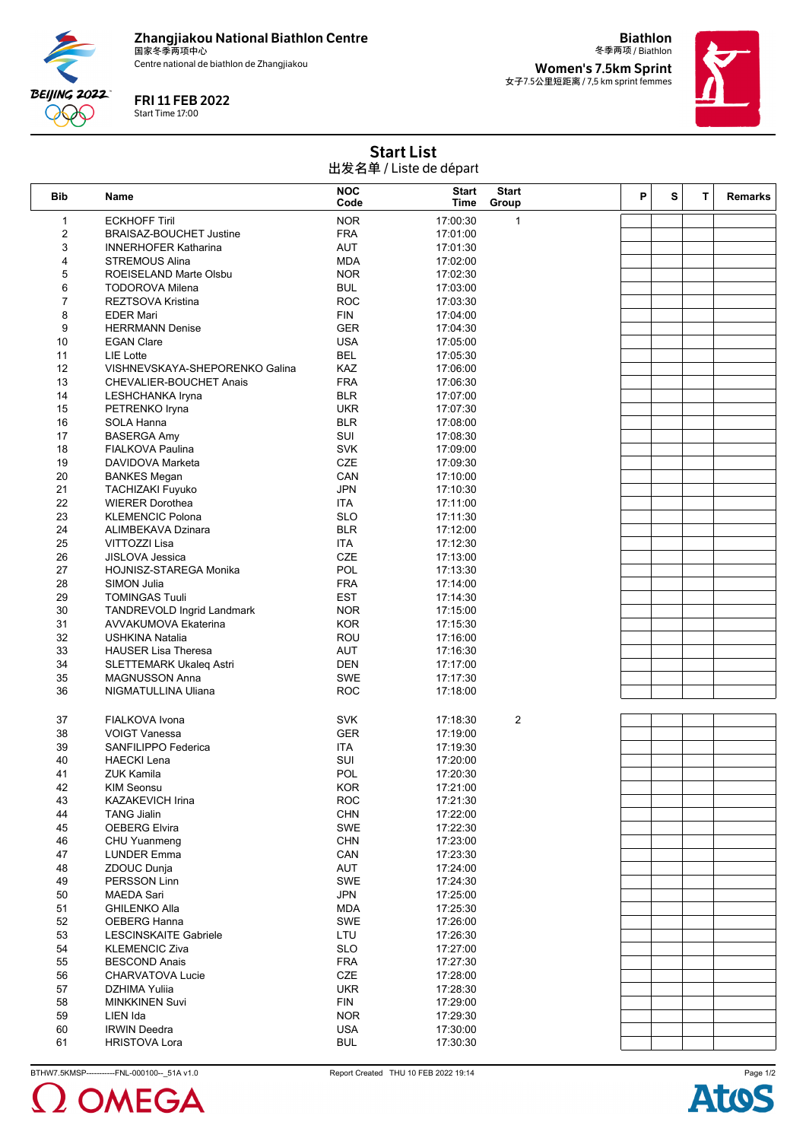

Centre national de biathlon de Zhangjiakou

FRI 11 FEB 2022

Start Time 17:00

**BEIJING 2022** 990

冬季两项 / Biathlon **Women's 7.5km Sprint** 女子7.5公里短距离 / 7,5 km sprint femmes

**Biathlon**



Start List 出发名单 / Liste de départ

| Bib                     | Name                                          | <b>NOC</b><br>Code       | <b>Start</b><br>Time | <b>Start</b><br>Group | P | s | T. | <b>Remarks</b> |
|-------------------------|-----------------------------------------------|--------------------------|----------------------|-----------------------|---|---|----|----------------|
| 1                       | <b>ECKHOFF Tiril</b>                          | <b>NOR</b>               | 17:00:30             | $\mathbf{1}$          |   |   |    |                |
| $\overline{\mathbf{c}}$ | <b>BRAISAZ-BOUCHET Justine</b>                | <b>FRA</b>               | 17:01:00             |                       |   |   |    |                |
| 3                       | <b>INNERHOFER Katharina</b>                   | <b>AUT</b>               | 17:01:30             |                       |   |   |    |                |
| 4                       | <b>STREMOUS Alina</b>                         | <b>MDA</b>               | 17:02:00             |                       |   |   |    |                |
| 5                       | ROEISELAND Marte Olsbu                        | <b>NOR</b>               | 17:02:30             |                       |   |   |    |                |
| 6                       | <b>TODOROVA Milena</b>                        | <b>BUL</b>               | 17:03:00             |                       |   |   |    |                |
| $\overline{7}$          | REZTSOVA Kristina                             | <b>ROC</b>               | 17:03:30             |                       |   |   |    |                |
| 8                       | <b>EDER Mari</b>                              | <b>FIN</b>               | 17:04:00             |                       |   |   |    |                |
| 9                       | <b>HERRMANN Denise</b>                        | <b>GER</b>               | 17:04:30             |                       |   |   |    |                |
| 10                      | <b>EGAN Clare</b>                             | <b>USA</b>               | 17:05:00             |                       |   |   |    |                |
| 11                      | LIE Lotte                                     | <b>BEL</b>               | 17:05:30             |                       |   |   |    |                |
| 12                      | VISHNEVSKAYA-SHEPORENKO Galina                | KAZ                      | 17:06:00             |                       |   |   |    |                |
| 13                      | <b>CHEVALIER-BOUCHET Anais</b>                | <b>FRA</b>               | 17:06:30             |                       |   |   |    |                |
| 14                      | LESHCHANKA Iryna                              | <b>BLR</b>               | 17:07:00             |                       |   |   |    |                |
| 15                      | PETRENKO Iryna                                | <b>UKR</b>               | 17:07:30             |                       |   |   |    |                |
| 16<br>17                | SOLA Hanna                                    | <b>BLR</b><br>SUI        | 17:08:00             |                       |   |   |    |                |
| 18                      | <b>BASERGA Amy</b><br><b>FIALKOVA Paulina</b> | <b>SVK</b>               | 17:08:30<br>17:09:00 |                       |   |   |    |                |
| 19                      | DAVIDOVA Marketa                              | <b>CZE</b>               | 17:09:30             |                       |   |   |    |                |
| 20                      | <b>BANKES Megan</b>                           | CAN                      | 17:10:00             |                       |   |   |    |                |
| 21                      | <b>TACHIZAKI Fuyuko</b>                       | <b>JPN</b>               | 17:10:30             |                       |   |   |    |                |
| 22                      | <b>WIERER Dorothea</b>                        | <b>ITA</b>               | 17:11:00             |                       |   |   |    |                |
| 23                      | <b>KLEMENCIC Polona</b>                       | <b>SLO</b>               | 17:11:30             |                       |   |   |    |                |
| 24                      | ALIMBEKAVA Dzinara                            | <b>BLR</b>               | 17:12:00             |                       |   |   |    |                |
| 25                      | VITTOZZI Lisa                                 | <b>ITA</b>               | 17:12:30             |                       |   |   |    |                |
| 26                      | <b>JISLOVA Jessica</b>                        | CZE                      | 17:13:00             |                       |   |   |    |                |
| 27                      | HOJNISZ-STAREGA Monika                        | POL                      | 17:13:30             |                       |   |   |    |                |
| 28                      | SIMON Julia                                   | <b>FRA</b>               | 17:14:00             |                       |   |   |    |                |
| 29                      | <b>TOMINGAS Tuuli</b>                         | <b>EST</b>               | 17:14:30             |                       |   |   |    |                |
| 30                      | <b>TANDREVOLD Ingrid Landmark</b>             | <b>NOR</b>               | 17:15:00             |                       |   |   |    |                |
| 31                      | <b>AVVAKUMOVA Ekaterina</b>                   | <b>KOR</b>               | 17:15:30             |                       |   |   |    |                |
| 32                      | USHKINA Natalia                               | ROU                      | 17:16:00             |                       |   |   |    |                |
| 33                      | <b>HAUSER Lisa Theresa</b>                    | <b>AUT</b>               | 17:16:30             |                       |   |   |    |                |
| 34                      | <b>SLETTEMARK Ukaleg Astri</b>                | <b>DEN</b>               | 17:17:00             |                       |   |   |    |                |
| 35                      | MAGNUSSON Anna                                | <b>SWE</b>               | 17:17:30             |                       |   |   |    |                |
| 36                      | NIGMATULLINA Uliana                           | <b>ROC</b>               | 17:18:00             |                       |   |   |    |                |
|                         |                                               |                          |                      |                       |   |   |    |                |
| 37                      | FIALKOVA Ivona                                | <b>SVK</b>               | 17:18:30             | $\overline{2}$        |   |   |    |                |
| 38                      | <b>VOIGT Vanessa</b>                          | <b>GER</b>               | 17:19:00             |                       |   |   |    |                |
| 39                      | SANFILIPPO Federica                           | <b>ITA</b>               | 17:19:30             |                       |   |   |    |                |
| 40                      | <b>HAECKI Lena</b>                            | SUI                      | 17:20:00             |                       |   |   |    |                |
| 41                      | ZUK Kamila                                    | POL                      | 17:20:30             |                       |   |   |    |                |
| 42                      | <b>KIM Seonsu</b>                             | KOR                      | 17:21:00             |                       |   |   |    |                |
| 43<br>44                | <b>KAZAKEVICH Irina</b><br><b>TANG Jialin</b> | <b>ROC</b><br><b>CHN</b> | 17:21:30<br>17:22:00 |                       |   |   |    |                |
| 45                      | <b>OEBERG Elvira</b>                          | SWE                      | 17:22:30             |                       |   |   |    |                |
| 46                      | CHU Yuanmeng                                  | <b>CHN</b>               | 17:23:00             |                       |   |   |    |                |
| 47                      | <b>LUNDER Emma</b>                            | CAN                      | 17:23:30             |                       |   |   |    |                |
| 48                      | ZDOUC Dunja                                   | AUT                      | 17:24:00             |                       |   |   |    |                |
| 49                      | <b>PERSSON Linn</b>                           | <b>SWE</b>               | 17:24:30             |                       |   |   |    |                |
| 50                      | <b>MAEDA Sari</b>                             | <b>JPN</b>               | 17:25:00             |                       |   |   |    |                |
| 51                      | <b>GHILENKO Alla</b>                          | <b>MDA</b>               | 17:25:30             |                       |   |   |    |                |
| 52                      | OEBERG Hanna                                  | SWE                      | 17:26:00             |                       |   |   |    |                |
| 53                      | <b>LESCINSKAITE Gabriele</b>                  | LTU                      | 17:26:30             |                       |   |   |    |                |
| 54                      | <b>KLEMENCIC Ziva</b>                         | <b>SLO</b>               | 17:27:00             |                       |   |   |    |                |
| 55                      | <b>BESCOND Anais</b>                          | <b>FRA</b>               | 17:27:30             |                       |   |   |    |                |
| 56                      | CHARVATOVA Lucie                              | CZE                      | 17:28:00             |                       |   |   |    |                |
| 57                      | DZHIMA Yuliia                                 | <b>UKR</b>               | 17:28:30             |                       |   |   |    |                |
| 58                      | <b>MINKKINEN Suvi</b>                         | <b>FIN</b>               | 17:29:00             |                       |   |   |    |                |
| 59                      | LIEN Ida                                      | <b>NOR</b>               | 17:29:30             |                       |   |   |    |                |
| 60                      | <b>IRWIN Deedra</b>                           | <b>USA</b>               | 17:30:00             |                       |   |   |    |                |
| 61                      | <b>HRISTOVA Lora</b>                          | <b>BUL</b>               | 17:30:30             |                       |   |   |    |                |

BTHW7.5KMSP-----------FNL-000100--\_51A v1.0 Report Created THU 10 FEB 2022 19:14